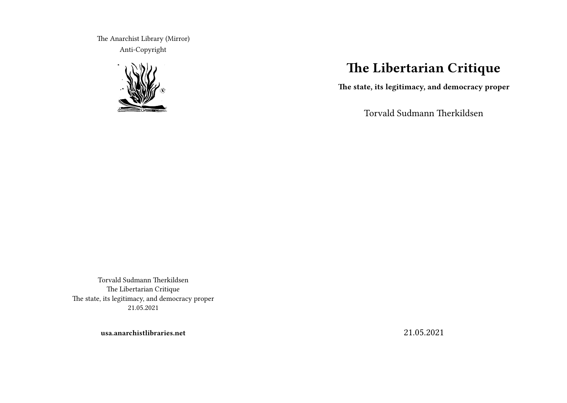The Anarchist Library (Mirror) Anti-Copyright



# **The Libertarian Critique**

**The state, its legitimacy, and democracy proper**

Torvald Sudmann Therkildsen

Torvald Sudmann Therkildsen The Libertarian Critique The state, its legitimacy, and democracy proper 21.05.2021

**usa.anarchistlibraries.net**

21.05.2021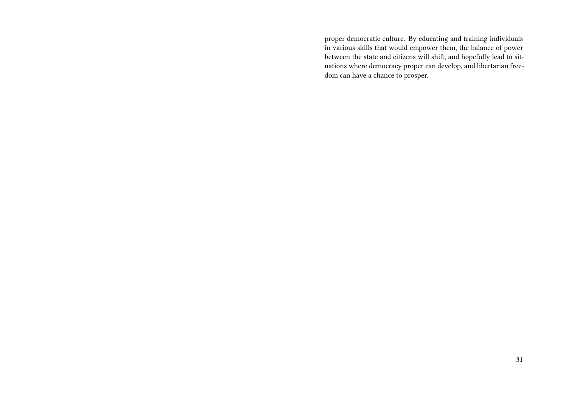proper democratic culture. By educating and training individuals in various skills that would empower them, the balance of power between the state and citizens will shift, and hopefully lead to situations where democracy proper can develop, and libertarian freedom can have a chance to prosper.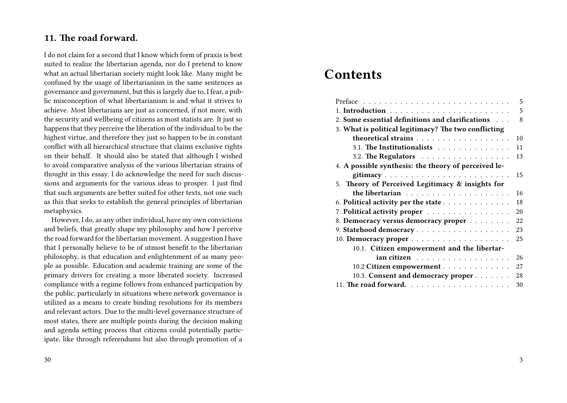# **11. The road forward.**

I do not claim for a second that I know which form of praxis is best suited to realize the libertarian agenda, nor do I pretend to know what an actual libertarian society might look like. Many might be confused by the usage of libertarianism in the same sentences as governance and government, but this is largely due to, I fear, a public misconception of what libertarianism is and what it strives to achieve. Most libertarians are just as concerned, if not more, with the security and wellbeing of citizens as most statists are. It just so happens that they perceive the liberation of the individual to be the highest virtue, and therefore they just so happen to be in constant conflict with all hierarchical structure that claims exclusive rights on their behalf. It should also be stated that although I wished to avoid comparative analysis of the various libertarian strains of thought in this essay, I do acknowledge the need for such discussions and arguments for the various ideas to prosper. I just find that such arguments are better suited for other texts, not one such as this that seeks to establish the general principles of libertarian metaphysics.

However, I do, as any other individual, have my own convictions and beliefs, that greatly shape my philosophy and how I perceive the road forward for the libertarian movement. A suggestion I have that I personally believe to be of utmost benefit to the libertarian philosophy, is that education and enlightenment of as many people as possible. Education and academic training are some of the primary drivers for creating a more liberated society. Increased compliance with a regime follows from enhanced participation by the public, particularly in situations where network governance is utilized as a means to create binding resolutions for its members and relevant actors. Due to the multi-level governance structure of most states, there are multiple points during the decision making and agenda setting process that citizens could potentially participate, like through referendums but also through promotion of a

# **Contents**

| 5                                                     |
|-------------------------------------------------------|
| 5                                                     |
| 2. Some essential definitions and clarifications<br>8 |
| 3. What is political legitimacy? The two conflicting  |
| theoretical strains<br>10                             |
| 3.1. The Institutionalists<br>11                      |
| 3.2. The Regulators<br>13                             |
| 4. A possible synthesis: the theory of perceived le-  |
| gitimacy<br>15                                        |
| 5. Theory of Perceived Legitimacy & insights for      |
| 16                                                    |
| 18<br>6. Political activity per the state             |
| 7. Political activity proper<br>20                    |
| 8. Democracy versus democracy proper<br>22            |
| 23                                                    |
| 25                                                    |
| 10.1. Citizen empowerment and the libertar-           |
| 26<br>ian citizen                                     |
| 27<br>10.2 Citizen empowerment                        |
| 10.3. Consent and democracy proper<br>28              |
| 30                                                    |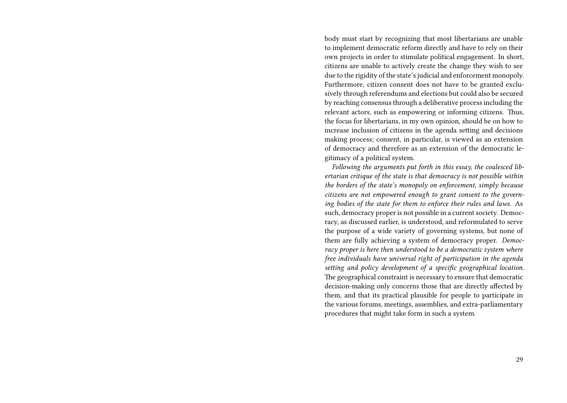body must start by recognizing that most libertarians are unable to implement democratic reform directly and have to rely on their own projects in order to stimulate political engagement. In short, citizens are unable to actively create the change they wish to see due to the rigidity of the state's judicial and enforcement monopoly. Furthermore, citizen consent does not have to be granted exclusively through referendums and elections but could also be secured by reaching consensus through a deliberative process including the relevant actors, such as empowering or informing citizens. Thus, the focus for libertarians, in my own opinion, should be on how to increase inclusion of citizens in the agenda setting and decisions making process; consent, in particular, is viewed as an extension of democracy and therefore as an extension of the democratic legitimacy of a political system.

*Following the arguments put forth in this essay, the coalesced libertarian critique of the state is that democracy is not possible within the borders of the state's monopoly on enforcement, simply because citizens are not empowered enough to grant consent to the governing bodies of the state for them to enforce their rules and laws*. As such, democracy proper is not possible in a current society. Democracy, as discussed earlier, is understood, and reformulated to serve the purpose of a wide variety of governing systems, but none of them are fully achieving a system of democracy proper. *Democracy proper is here then understood to be a democratic system where free individuals have universal right of participation in the agenda setting and policy development of a specific geographical location*. The geographical constraint is necessary to ensure that democratic decision-making only concerns those that are directly affected by them, and that its practical plausible for people to participate in the various forums, meetings, assemblies, and extra-parliamentary procedures that might take form in such a system.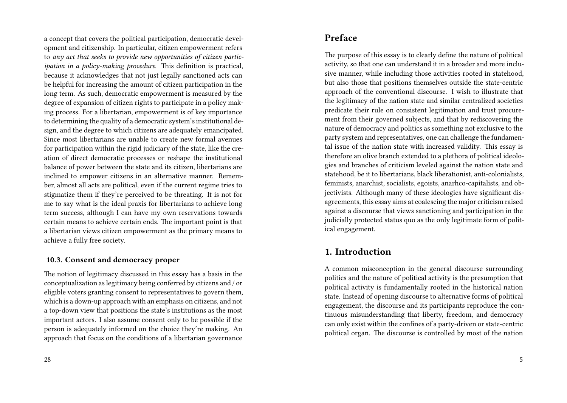a concept that covers the political participation, democratic development and citizenship. In particular, citizen empowerment refers to *any act that seeks to provide new opportunities of citizen participation in a policy-making procedure*. This definition is practical, because it acknowledges that not just legally sanctioned acts can be helpful for increasing the amount of citizen participation in the long term. As such, democratic empowerment is measured by the degree of expansion of citizen rights to participate in a policy making process. For a libertarian, empowerment is of key importance to determining the quality of a democratic system's institutional design, and the degree to which citizens are adequately emancipated. Since most libertarians are unable to create new formal avenues for participation within the rigid judiciary of the state, like the creation of direct democratic processes or reshape the institutional balance of power between the state and its citizen, libertarians are inclined to empower citizens in an alternative manner. Remember, almost all acts are political, even if the current regime tries to stigmatize them if they're perceived to be threating. It is not for me to say what is the ideal praxis for libertarians to achieve long term success, although I can have my own reservations towards certain means to achieve certain ends. The important point is that a libertarian views citizen empowerment as the primary means to achieve a fully free society.

### **10.3. Consent and democracy proper**

The notion of legitimacy discussed in this essay has a basis in the conceptualization as legitimacy being conferred by citizens and / or eligible voters granting consent to representatives to govern them, which is a down-up approach with an emphasis on citizens, and not a top-down view that positions the state's institutions as the most important actors. I also assume consent only to be possible if the person is adequately informed on the choice they're making. An approach that focus on the conditions of a libertarian governance

## **Preface**

The purpose of this essay is to clearly define the nature of political activity, so that one can understand it in a broader and more inclusive manner, while including those activities rooted in statehood, but also those that positions themselves outside the state-centric approach of the conventional discourse. I wish to illustrate that the legitimacy of the nation state and similar centralized societies predicate their rule on consistent legitimation and trust procurement from their governed subjects, and that by rediscovering the nature of democracy and politics as something not exclusive to the party system and representatives, one can challenge the fundamental issue of the nation state with increased validity. This essay is therefore an olive branch extended to a plethora of political ideologies and branches of criticism leveled against the nation state and statehood, be it to libertarians, black liberationist, anti-colonialists, feminists, anarchist, socialists, egoists, anarhco-capitalists, and objectivists. Although many of these ideologies have significant disagreements, this essay aims at coalescing the major criticism raised against a discourse that views sanctioning and participation in the judicially protected status quo as the only legitimate form of political engagement.

# **1. Introduction**

A common misconception in the general discourse surrounding politics and the nature of political activity is the presumption that political activity is fundamentally rooted in the historical nation state. Instead of opening discourse to alternative forms of political engagement, the discourse and its participants reproduce the continuous misunderstanding that liberty, freedom, and democracy can only exist within the confines of a party-driven or state-centric political organ. The discourse is controlled by most of the nation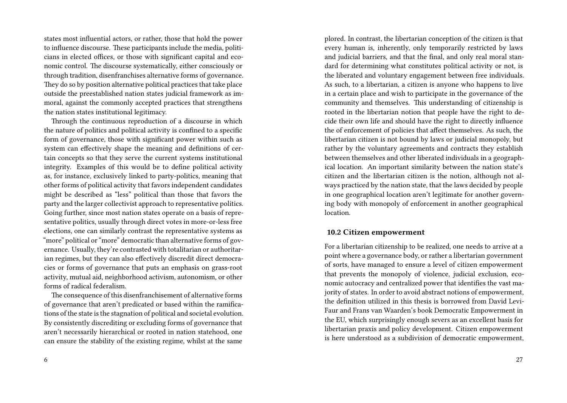states most influential actors, or rather, those that hold the power to influence discourse. These participants include the media, politicians in elected offices, or those with significant capital and economic control. The discourse systematically, either consciously or through tradition, disenfranchises alternative forms of governance. They do so by position alternative political practices that take place outside the preestablished nation states judicial framework as immoral, against the commonly accepted practices that strengthens the nation states institutional legitimacy.

Through the continuous reproduction of a discourse in which the nature of politics and political activity is confined to a specific form of governance, those with significant power within such as system can effectively shape the meaning and definitions of certain concepts so that they serve the current systems institutional integrity. Examples of this would be to define political activity as, for instance, exclusively linked to party-politics, meaning that other forms of political activity that favors independent candidates might be described as "less" political than those that favors the party and the larger collectivist approach to representative politics. Going further, since most nation states operate on a basis of representative politics, usually through direct votes in more-or-less free elections, one can similarly contrast the representative systems as "more" political or "more" democratic than alternative forms of governance. Usually, they're contrasted with totalitarian or authoritarian regimes, but they can also effectively discredit direct democracies or forms of governance that puts an emphasis on grass-root activity, mutual aid, neighborhood activism, autonomism, or other forms of radical federalism.

The consequence of this disenfranchisement of alternative forms of governance that aren't predicated or based within the ramifications of the state is the stagnation of political and societal evolution. By consistently discrediting or excluding forms of governance that aren't necessarily hierarchical or rooted in nation statehood, one can ensure the stability of the existing regime, whilst at the same

plored. In contrast, the libertarian conception of the citizen is that every human is, inherently, only temporarily restricted by laws and judicial barriers, and that the final, and only real moral standard for determining what constitutes political activity or not, is the liberated and voluntary engagement between free individuals. As such, to a libertarian, a citizen is anyone who happens to live in a certain place and wish to participate in the governance of the community and themselves. This understanding of citizenship is rooted in the libertarian notion that people have the right to decide their own life and should have the right to directly influence the of enforcement of policies that affect themselves. As such, the libertarian citizen is not bound by laws or judicial monopoly, but rather by the voluntary agreements and contracts they establish between themselves and other liberated individuals in a geographical location. An important similarity between the nation state's citizen and the libertarian citizen is the notion, although not always practiced by the nation state, that the laws decided by people in one geographical location aren't legitimate for another governing body with monopoly of enforcement in another geographical location.

#### **10.2 Citizen empowerment**

For a libertarian citizenship to be realized, one needs to arrive at a point where a governance body, or rather a libertarian government of sorts, have managed to ensure a level of citizen empowerment that prevents the monopoly of violence, judicial exclusion, economic autocracy and centralized power that identifies the vast majority of states. In order to avoid abstract notions of empowerment, the definition utilized in this thesis is borrowed from David Levi-Faur and Frans van Waarden's book Democratic Empowerment in the EU, which surprisingly enough severs as an excellent basis for libertarian praxis and policy development. Citizen empowerment is here understood as a subdivision of democratic empowerment,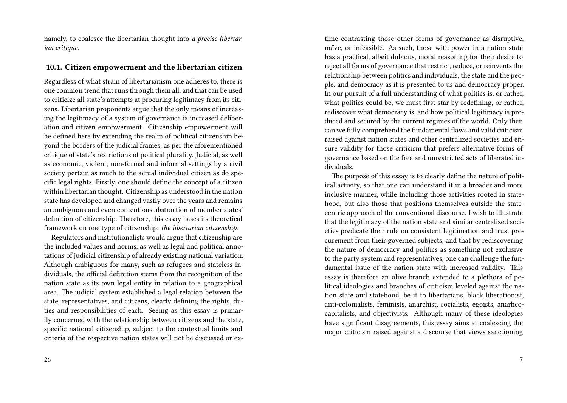namely, to coalesce the libertarian thought into *a precise libertarian critique*.

#### **10.1. Citizen empowerment and the libertarian citizen**

Regardless of what strain of libertarianism one adheres to, there is one common trend that runs through them all, and that can be used to criticize all state's attempts at procuring legitimacy from its citizens. Libertarian proponents argue that the only means of increasing the legitimacy of a system of governance is increased deliberation and citizen empowerment. Citizenship empowerment will be defined here by extending the realm of political citizenship beyond the borders of the judicial frames, as per the aforementioned critique of state's restrictions of political plurality. Judicial, as well as economic, violent, non-formal and informal settings by a civil society pertain as much to the actual individual citizen as do specific legal rights. Firstly, one should define the concept of a citizen within libertarian thought. Citizenship as understood in the nation state has developed and changed vastly over the years and remains an ambiguous and even contentious abstraction of member states' definition of citizenship. Therefore, this essay bases its theoretical framework on one type of citizenship: *the libertarian citizenship*.

Regulators and institutionalists would argue that citizenship are the included values and norms, as well as legal and political annotations of judicial citizenship of already existing national variation. Although ambiguous for many, such as refugees and stateless individuals, the official definition stems from the recognition of the nation state as its own legal entity in relation to a geographical area. The judicial system established a legal relation between the state, representatives, and citizens, clearly defining the rights, duties and responsibilities of each. Seeing as this essay is primarily concerned with the relationship between citizens and the state, specific national citizenship, subject to the contextual limits and criteria of the respective nation states will not be discussed or ex-

time contrasting those other forms of governance as disruptive, naïve, or infeasible. As such, those with power in a nation state has a practical, albeit dubious, moral reasoning for their desire to reject all forms of governance that restrict, reduce, or reinvents the relationship between politics and individuals, the state and the people, and democracy as it is presented to us and democracy proper. In our pursuit of a full understanding of what politics is, or rather, what politics could be, we must first star by redefining, or rather, rediscover what democracy is, and how political legitimacy is produced and secured by the current regimes of the world. Only then can we fully comprehend the fundamental flaws and valid criticism raised against nation states and other centralized societies and ensure validity for those criticism that prefers alternative forms of governance based on the free and unrestricted acts of liberated individuals.

The purpose of this essay is to clearly define the nature of political activity, so that one can understand it in a broader and more inclusive manner, while including those activities rooted in statehood, but also those that positions themselves outside the statecentric approach of the conventional discourse. I wish to illustrate that the legitimacy of the nation state and similar centralized societies predicate their rule on consistent legitimation and trust procurement from their governed subjects, and that by rediscovering the nature of democracy and politics as something not exclusive to the party system and representatives, one can challenge the fundamental issue of the nation state with increased validity. This essay is therefore an olive branch extended to a plethora of political ideologies and branches of criticism leveled against the nation state and statehood, be it to libertarians, black liberationist, anti-colonialists, feminists, anarchist, socialists, egoists, anarhcocapitalists, and objectivists. Although many of these ideologies have significant disagreements, this essay aims at coalescing the major criticism raised against a discourse that views sanctioning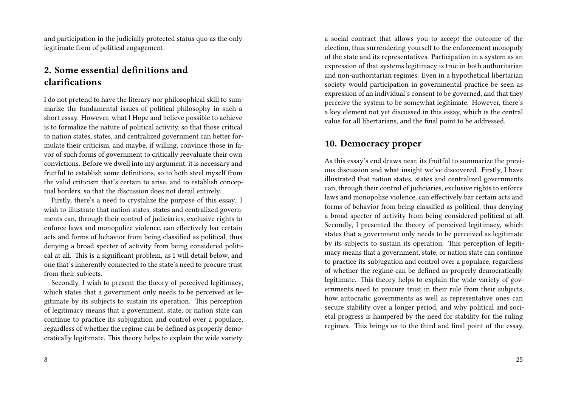and participation in the judicially protected status quo as the only legitimate form of political engagement.

# **2. Some essential definitions and clarifications**

I do not pretend to have the literary nor philosophical skill to summarize the fundamental issues of political philosophy in such a short essay. However, what I Hope and believe possible to achieve is to formalize the nature of political activity, so that those critical to nation states, states, and centralized government can better formulate their criticism, and maybe, if willing, convince those in favor of such forms of government to critically reevaluate their own convictions. Before we dwell into my argument, it is necessary and fruitful to establish some definitions, so to both steel myself from the valid criticism that's certain to arise, and to establish conceptual borders, so that the discussion does not derail entirely.

Firstly, there's a need to crystalize the purpose of this essay. I wish to illustrate that nation states, states and centralized governments can, through their control of judiciaries, exclusive rights to enforce laws and monopolize violence, can effectively bar certain acts and forms of behavior from being classified as political, thus denying a broad specter of activity from being considered political at all. This is a significant problem, as I will detail below, and one that's inherently connected to the state's need to procure trust from their subjects.

Secondly, I wish to present the theory of perceived legitimacy, which states that a government only needs to be perceived as legitimate by its subjects to sustain its operation. This perception of legitimacy means that a government, state, or nation state can continue to practice its subjugation and control over a populace, regardless of whether the regime can be defined as properly democratically legitimate. This theory helps to explain the wide variety

8

a social contract that allows you to accept the outcome of the election, thus surrendering yourself to the enforcement monopoly of the state and its representatives. Participation in a system as an expression of that systems legitimacy is true in both authoritarian and non-authoritarian regimes. Even in a hypothetical libertarian society would participation in governmental practice be seen as expression of an individual's consent to be governed, and that they perceive the system to be somewhat legitimate. However, there's a key element not yet discussed in this essay, which is the central value for all libertarians, and the final point to be addressed.

### **10. Democracy proper**

As this essay's end draws near, its fruitful to summarize the previous discussion and what insight we've discovered. Firstly, I have illustrated that nation states, states and centralized governments can, through their control of judiciaries, exclusive rights to enforce laws and monopolize violence, can effectively bar certain acts and forms of behavior from being classified as political, thus denying a broad specter of activity from being considered political at all. Secondly, I presented the theory of perceived legitimacy, which states that a government only needs to be perceived as legitimate by its subjects to sustain its operation. This perception of legitimacy means that a government, state, or nation state can continue to practice its subjugation and control over a populace, regardless of whether the regime can be defined as properly democratically legitimate. This theory helps to explain the wide variety of governments need to procure trust in their rule from their subjects, how autocratic governments as well as representative ones can secure stability over a longer period, and why political and societal progress is hampered by the need for stability for the ruling regimes. This brings us to the third and final point of the essay,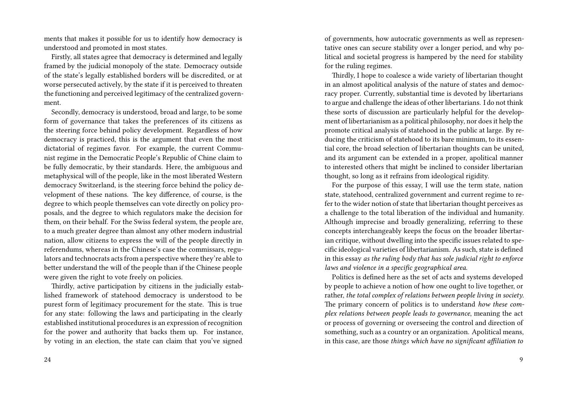ments that makes it possible for us to identify how democracy is understood and promoted in most states.

Firstly, all states agree that democracy is determined and legally framed by the judicial monopoly of the state. Democracy outside of the state's legally established borders will be discredited, or at worse persecuted actively, by the state if it is perceived to threaten the functioning and perceived legitimacy of the centralized government.

Secondly, democracy is understood, broad and large, to be some form of governance that takes the preferences of its citizens as the steering force behind policy development. Regardless of how democracy is practiced, this is the argument that even the most dictatorial of regimes favor. For example, the current Communist regime in the Democratic People's Republic of Chine claim to be fully democratic, by their standards. Here, the ambiguous and metaphysical will of the people, like in the most liberated Western democracy Switzerland, is the steering force behind the policy development of these nations. The key difference, of course, is the degree to which people themselves can vote directly on policy proposals, and the degree to which regulators make the decision for them, on their behalf. For the Swiss federal system, the people are, to a much greater degree than almost any other modern industrial nation, allow citizens to express the will of the people directly in referendums, whereas in the Chinese's case the commissars, regulators and technocrats acts from a perspective where they're able to better understand the will of the people than if the Chinese people were given the right to vote freely on policies.

Thirdly, active participation by citizens in the judicially established framework of statehood democracy is understood to be purest form of legitimacy procurement for the state. This is true for any state: following the laws and participating in the clearly established institutional procedures is an expression of recognition for the power and authority that backs them up. For instance, by voting in an election, the state can claim that you've signed

24

of governments, how autocratic governments as well as representative ones can secure stability over a longer period, and why political and societal progress is hampered by the need for stability for the ruling regimes.

Thirdly, I hope to coalesce a wide variety of libertarian thought in an almost apolitical analysis of the nature of states and democracy proper. Currently, substantial time is devoted by libertarians to argue and challenge the ideas of other libertarians. I do not think these sorts of discussion are particularly helpful for the development of libertarianism as a political philosophy, nor does it help the promote critical analysis of statehood in the public at large. By reducing the criticism of statehood to its bare minimum, to its essential core, the broad selection of libertarian thoughts can be united, and its argument can be extended in a proper, apolitical manner to interested others that might be inclined to consider libertarian thought, so long as it refrains from ideological rigidity.

For the purpose of this essay, I will use the term state, nation state, statehood, centralized government and current regime to refer to the wider notion of state that libertarian thought perceives as a challenge to the total liberation of the individual and humanity. Although imprecise and broadly generalizing, referring to these concepts interchangeably keeps the focus on the broader libertarian critique, without dwelling into the specific issues related to specific ideological varieties of libertarianism. As such, state is defined in this essay *as the ruling body that has sole judicial right to enforce laws and violence in a specific geographical area*.

Politics is defined here as the set of acts and systems developed by people to achieve a notion of how one ought to live together, or rather, *the total complex of relations between people living in society*. The primary concern of politics is to understand *how these complex relations between people leads to governance*, meaning the act or process of governing or overseeing the control and direction of something, such as a country or an organization. Apolitical means, in this case, are those *things which have no significant affiliation to*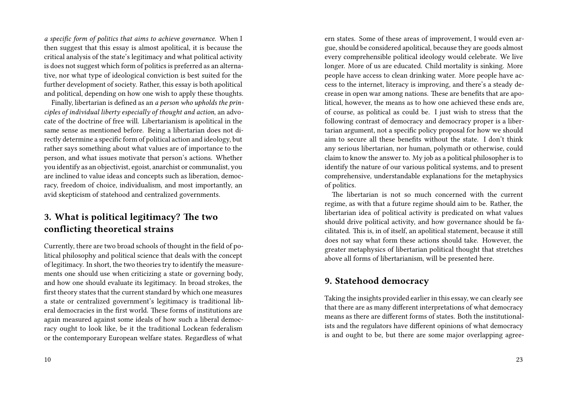*a specific form of politics that aims to achieve governance*. When I then suggest that this essay is almost apolitical, it is because the critical analysis of the state's legitimacy and what political activity is does not suggest which form of politics is preferred as an alternative, nor what type of ideological conviction is best suited for the further development of society. Rather, this essay is both apolitical and political, depending on how one wish to apply these thoughts.

Finally, libertarian is defined as an *a person who upholds the principles of individual liberty especially of thought and action*, an advocate of the doctrine of free will. Libertarianism is apolitical in the same sense as mentioned before. Being a libertarian does not directly determine a specific form of political action and ideology, but rather says something about what values are of importance to the person, and what issues motivate that person's actions. Whether you identify as an objectivist, egoist, anarchist or communalist, you are inclined to value ideas and concepts such as liberation, democracy, freedom of choice, individualism, and most importantly, an avid skepticism of statehood and centralized governments.

# **3. What is political legitimacy? The two conflicting theoretical strains**

Currently, there are two broad schools of thought in the field of political philosophy and political science that deals with the concept of legitimacy. In short, the two theories try to identify the measurements one should use when criticizing a state or governing body, and how one should evaluate its legitimacy. In broad strokes, the first theory states that the current standard by which one measures a state or centralized government's legitimacy is traditional liberal democracies in the first world. These forms of institutions are again measured against some ideals of how such a liberal democracy ought to look like, be it the traditional Lockean federalism or the contemporary European welfare states. Regardless of what ern states. Some of these areas of improvement, I would even argue, should be considered apolitical, because they are goods almost every comprehensible political ideology would celebrate. We live longer. More of us are educated. Child mortality is sinking. More people have access to clean drinking water. More people have access to the internet, literacy is improving, and there's a steady decrease in open war among nations. These are benefits that are apolitical, however, the means as to how one achieved these ends are, of course, as political as could be. I just wish to stress that the following contrast of democracy and democracy proper is a libertarian argument, not a specific policy proposal for how we should aim to secure all these benefits without the state. I don't think any serious libertarian, nor human, polymath or otherwise, could claim to know the answer to. My job as a political philosopher is to identify the nature of our various political systems, and to present comprehensive, understandable explanations for the metaphysics of politics.

The libertarian is not so much concerned with the current regime, as with that a future regime should aim to be. Rather, the libertarian idea of political activity is predicated on what values should drive political activity, and how governance should be facilitated. This is, in of itself, an apolitical statement, because it still does not say what form these actions should take. However, the greater metaphysics of libertarian political thought that stretches above all forms of libertarianism, will be presented here.

### **9. Statehood democracy**

Taking the insights provided earlier in this essay, we can clearly see that there are as many different interpretations of what democracy means as there are different forms of states. Both the institutionalists and the regulators have different opinions of what democracy is and ought to be, but there are some major overlapping agree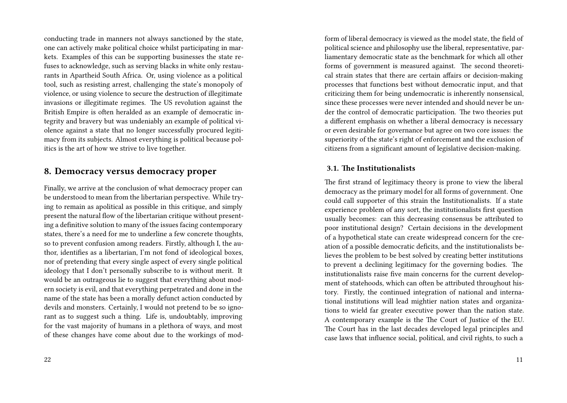conducting trade in manners not always sanctioned by the state, one can actively make political choice whilst participating in markets. Examples of this can be supporting businesses the state refuses to acknowledge, such as serving blacks in white only restaurants in Apartheid South Africa. Or, using violence as a political tool, such as resisting arrest, challenging the state's monopoly of violence, or using violence to secure the destruction of illegitimate invasions or illegitimate regimes. The US revolution against the British Empire is often heralded as an example of democratic integrity and bravery but was undeniably an example of political violence against a state that no longer successfully procured legitimacy from its subjects. Almost everything is political because politics is the art of how we strive to live together.

### **8. Democracy versus democracy proper**

Finally, we arrive at the conclusion of what democracy proper can be understood to mean from the libertarian perspective. While trying to remain as apolitical as possible in this critique, and simply present the natural flow of the libertarian critique without presenting a definitive solution to many of the issues facing contemporary states, there's a need for me to underline a few concrete thoughts, so to prevent confusion among readers. Firstly, although I, the author, identifies as a libertarian, I'm not fond of ideological boxes, nor of pretending that every single aspect of every single political ideology that I don't personally subscribe to is without merit. It would be an outrageous lie to suggest that everything about modern society is evil, and that everything perpetrated and done in the name of the state has been a morally defunct action conducted by devils and monsters. Certainly, I would not pretend to be so ignorant as to suggest such a thing. Life is, undoubtably, improving for the vast majority of humans in a plethora of ways, and most of these changes have come about due to the workings of modform of liberal democracy is viewed as the model state, the field of political science and philosophy use the liberal, representative, parliamentary democratic state as the benchmark for which all other forms of government is measured against. The second theoretical strain states that there are certain affairs or decision-making processes that functions best without democratic input, and that criticizing them for being undemocratic is inherently nonsensical, since these processes were never intended and should never be under the control of democratic participation. The two theories put a different emphasis on whether a liberal democracy is necessary or even desirable for governance but agree on two core issues: the superiority of the state's right of enforcement and the exclusion of citizens from a significant amount of legislative decision-making.

#### **3.1. The Institutionalists**

The first strand of legitimacy theory is prone to view the liberal democracy as the primary model for all forms of government. One could call supporter of this strain the Institutionalists. If a state experience problem of any sort, the institutionalists first question usually becomes: can this decreasing consensus be attributed to poor institutional design? Certain decisions in the development of a hypothetical state can create widespread concern for the creation of a possible democratic deficits, and the institutionalists believes the problem to be best solved by creating better institutions to prevent a declining legitimacy for the governing bodies. The institutionalists raise five main concerns for the current development of statehoods, which can often be attributed throughout history. Firstly, the continued integration of national and international institutions will lead mightier nation states and organizations to wield far greater executive power than the nation state. A contemporary example is the The Court of Justice of the EU. The Court has in the last decades developed legal principles and case laws that influence social, political, and civil rights, to such a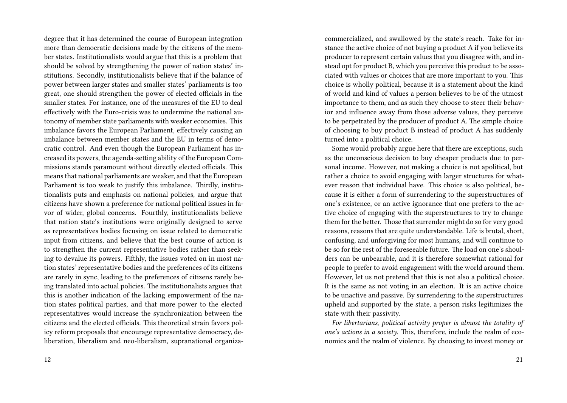degree that it has determined the course of European integration more than democratic decisions made by the citizens of the member states. Institutionalists would argue that this is a problem that should be solved by strengthening the power of nation states' institutions. Secondly, institutionalists believe that if the balance of power between larger states and smaller states' parliaments is too great, one should strengthen the power of elected officials in the smaller states. For instance, one of the measures of the EU to deal effectively with the Euro-crisis was to undermine the national autonomy of member state parliaments with weaker economies. This imbalance favors the European Parliament, effectively causing an imbalance between member states and the EU in terms of democratic control. And even though the European Parliament has increased its powers, the agenda-setting ability of the European Commissions stands paramount without directly elected officials. This means that national parliaments are weaker, and that the European Parliament is too weak to justify this imbalance. Thirdly, institutionalists puts and emphasis on national policies, and argue that citizens have shown a preference for national political issues in favor of wider, global concerns. Fourthly, institutionalists believe that nation state's institutions were originally designed to serve as representatives bodies focusing on issue related to democratic input from citizens, and believe that the best course of action is to strengthen the current representative bodies rather than seeking to devalue its powers. Fifthly, the issues voted on in most nation states' representative bodies and the preferences of its citizens are rarely in sync, leading to the preferences of citizens rarely being translated into actual policies. The institutionalists argues that this is another indication of the lacking empowerment of the nation states political parties, and that more power to the elected representatives would increase the synchronization between the citizens and the elected officials. This theoretical strain favors policy reform proposals that encourage representative democracy, deliberation, liberalism and neo-liberalism, supranational organizacommercialized, and swallowed by the state's reach. Take for instance the active choice of not buying a product A if you believe its producer to represent certain values that you disagree with, and instead opt for product B, which you perceive this product to be associated with values or choices that are more important to you. This choice is wholly political, because it is a statement about the kind of world and kind of values a person believes to be of the utmost importance to them, and as such they choose to steer their behavior and influence away from those adverse values, they perceive to be perpetrated by the producer of product A. The simple choice of choosing to buy product B instead of product A has suddenly turned into a political choice.

Some would probably argue here that there are exceptions, such as the unconscious decision to buy cheaper products due to personal income. However, not making a choice is not apolitical, but rather a choice to avoid engaging with larger structures for whatever reason that individual have. This choice is also political, because it is either a form of surrendering to the superstructures of one's existence, or an active ignorance that one prefers to the active choice of engaging with the superstructures to try to change them for the better. Those that surrender might do so for very good reasons, reasons that are quite understandable. Life is brutal, short, confusing, and unforgiving for most humans, and will continue to be so for the rest of the foreseeable future. The load on one's shoulders can be unbearable, and it is therefore somewhat rational for people to prefer to avoid engagement with the world around them. However, let us not pretend that this is not also a political choice. It is the same as not voting in an election. It is an active choice to be unactive and passive. By surrendering to the superstructures upheld and supported by the state, a person risks legitimizes the state with their passivity.

*For libertarians, political activity proper is almost the totality of one's actions in a society.* This, therefore, include the realm of economics and the realm of violence. By choosing to invest money or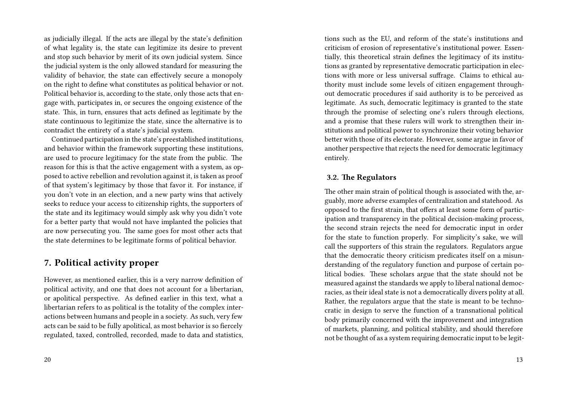as judicially illegal. If the acts are illegal by the state's definition of what legality is, the state can legitimize its desire to prevent and stop such behavior by merit of its own judicial system. Since the judicial system is the only allowed standard for measuring the validity of behavior, the state can effectively secure a monopoly on the right to define what constitutes as political behavior or not. Political behavior is, according to the state, only those acts that engage with, participates in, or secures the ongoing existence of the state. This, in turn, ensures that acts defined as legitimate by the state continuous to legitimize the state, since the alternative is to contradict the entirety of a state's judicial system.

Continued participation in the state's preestablished institutions, and behavior within the framework supporting these institutions, are used to procure legitimacy for the state from the public. The reason for this is that the active engagement with a system, as opposed to active rebellion and revolution against it, is taken as proof of that system's legitimacy by those that favor it. For instance, if you don't vote in an election, and a new party wins that actively seeks to reduce your access to citizenship rights, the supporters of the state and its legitimacy would simply ask why you didn't vote for a better party that would not have implanted the policies that are now persecuting you. The same goes for most other acts that the state determines to be legitimate forms of political behavior.

## **7. Political activity proper**

However, as mentioned earlier, this is a very narrow definition of political activity, and one that does not account for a libertarian, or apolitical perspective. As defined earlier in this text, what a libertarian refers to as political is the totality of the complex interactions between humans and people in a society. As such, very few acts can be said to be fully apolitical, as most behavior is so fiercely regulated, taxed, controlled, recorded, made to data and statistics,

tions such as the EU, and reform of the state's institutions and criticism of erosion of representative's institutional power. Essentially, this theoretical strain defines the legitimacy of its institutions as granted by representative democratic participation in elections with more or less universal suffrage. Claims to ethical authority must include some levels of citizen engagement throughout democratic procedures if said authority is to be perceived as legitimate. As such, democratic legitimacy is granted to the state through the promise of selecting one's rulers through elections, and a promise that these rulers will work to strengthen their institutions and political power to synchronize their voting behavior better with those of its electorate. However, some argue in favor of another perspective that rejects the need for democratic legitimacy entirely.

### **3.2. The Regulators**

The other main strain of political though is associated with the, arguably, more adverse examples of centralization and statehood. As opposed to the first strain, that offers at least some form of participation and transparency in the political decision-making process, the second strain rejects the need for democratic input in order for the state to function properly. For simplicity's sake, we will call the supporters of this strain the regulators. Regulators argue that the democratic theory criticism predicates itself on a misunderstanding of the regulatory function and purpose of certain political bodies. These scholars argue that the state should not be measured against the standards we apply to liberal national democracies, as their ideal state is not a democratically divers polity at all. Rather, the regulators argue that the state is meant to be technocratic in design to serve the function of a transnational political body primarily concerned with the improvement and integration of markets, planning, and political stability, and should therefore not be thought of as a system requiring democratic input to be legit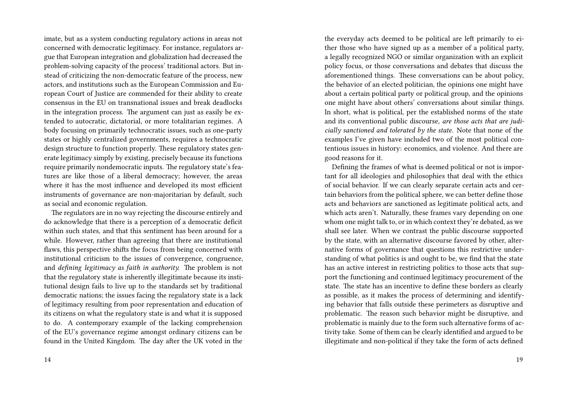imate, but as a system conducting regulatory actions in areas not concerned with democratic legitimacy. For instance, regulators argue that European integration and globalization had decreased the problem-solving capacity of the process' traditional actors. But instead of criticizing the non-democratic feature of the process, new actors, and institutions such as the European Commission and European Court of Justice are commended for their ability to create consensus in the EU on transnational issues and break deadlocks in the integration process. The argument can just as easily be extended to autocratic, dictatorial, or more totalitarian regimes. A body focusing on primarily technocratic issues, such as one-party states or highly centralized governments, requires a technocratic design structure to function properly. These regulatory states generate legitimacy simply by existing, precisely because its functions require primarily nondemocratic inputs. The regulatory state's features are like those of a liberal democracy; however, the areas where it has the most influence and developed its most efficient instruments of governance are non-majoritarian by default, such as social and economic regulation.

The regulators are in no way rejecting the discourse entirely and do acknowledge that there is a perception of a democratic deficit within such states, and that this sentiment has been around for a while. However, rather than agreeing that there are institutional flaws, this perspective shifts the focus from being concerned with institutional criticism to the issues of convergence, congruence, and *defining legitimacy as faith in authority.* The problem is not that the regulatory state is inherently illegitimate because its institutional design fails to live up to the standards set by traditional democratic nations; the issues facing the regulatory state is a lack of legitimacy resulting from poor representation and education of its citizens on what the regulatory state is and what it is supposed to do. A contemporary example of the lacking comprehension of the EU's governance regime amongst ordinary citizens can be found in the United Kingdom. The day after the UK voted in the

the everyday acts deemed to be political are left primarily to either those who have signed up as a member of a political party, a legally recognized NGO or similar organization with an explicit policy focus, or those conversations and debates that discuss the aforementioned things. These conversations can be about policy, the behavior of an elected politician, the opinions one might have about a certain political party or political group, and the opinions one might have about others' conversations about similar things. In short, what is political, per the established norms of the state and its conventional public discourse, *are those acts that are judicially sanctioned and tolerated by the state*. Note that none of the examples I've given have included two of the most political contentious issues in history: economics, and violence. And there are good reasons for it.

Defining the frames of what is deemed political or not is important for all ideologies and philosophies that deal with the ethics of social behavior. If we can clearly separate certain acts and certain behaviors from the political sphere, we can better define those acts and behaviors are sanctioned as legitimate political acts, and which acts aren't. Naturally, these frames vary depending on one whom one might talk to, or in which context they're debated, as we shall see later. When we contrast the public discourse supported by the state, with an alternative discourse favored by other, alternative forms of governance that questions this restrictive understanding of what politics is and ought to be, we find that the state has an active interest in restricting politics to those acts that support the functioning and continued legitimacy procurement of the state. The state has an incentive to define these borders as clearly as possible, as it makes the process of determining and identifying behavior that falls outside these perimeters as disruptive and problematic. The reason such behavior might be disruptive, and problematic is mainly due to the form such alternative forms of activity take. Some of them can be clearly identified and argued to be illegitimate and non-political if they take the form of acts defined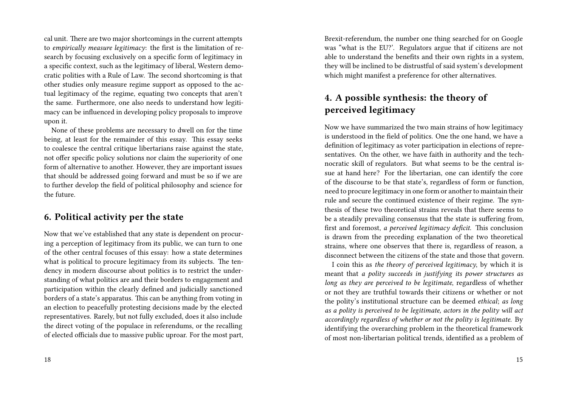cal unit. There are two major shortcomings in the current attempts to *empirically measure legitimacy*: the first is the limitation of research by focusing exclusively on a specific form of legitimacy in a specific context, such as the legitimacy of liberal, Western democratic polities with a Rule of Law. The second shortcoming is that other studies only measure regime support as opposed to the actual legitimacy of the regime, equating two concepts that aren't the same. Furthermore, one also needs to understand how legitimacy can be influenced in developing policy proposals to improve upon it.

None of these problems are necessary to dwell on for the time being, at least for the remainder of this essay. This essay seeks to coalesce the central critique libertarians raise against the state, not offer specific policy solutions nor claim the superiority of one form of alternative to another. However, they are important issues that should be addressed going forward and must be so if we are to further develop the field of political philosophy and science for the future.

## **6. Political activity per the state**

Now that we've established that any state is dependent on procuring a perception of legitimacy from its public, we can turn to one of the other central focuses of this essay: how a state determines what is political to procure legitimacy from its subjects. The tendency in modern discourse about politics is to restrict the understanding of what politics are and their borders to engagement and participation within the clearly defined and judicially sanctioned borders of a state's apparatus. This can be anything from voting in an election to peacefully protesting decisions made by the elected representatives. Rarely, but not fully excluded, does it also include the direct voting of the populace in referendums, or the recalling of elected officials due to massive public uproar. For the most part,

18

Brexit-referendum, the number one thing searched for on Google was "what is the EU?'. Regulators argue that if citizens are not able to understand the benefits and their own rights in a system, they will be inclined to be distrustful of said system's development which might manifest a preference for other alternatives.

# **4. A possible synthesis: the theory of perceived legitimacy**

Now we have summarized the two main strains of how legitimacy is understood in the field of politics. One the one hand, we have a definition of legitimacy as voter participation in elections of representatives. On the other, we have faith in authority and the technocratic skill of regulators. But what seems to be the central issue at hand here? For the libertarian, one can identify the core of the discourse to be that state's, regardless of form or function, need to procure legitimacy in one form or another to maintain their rule and secure the continued existence of their regime. The synthesis of these two theoretical strains reveals that there seems to be a steadily prevailing consensus that the state is suffering from, first and foremost, *a perceived legitimacy deficit.* This conclusion is drawn from the preceding explanation of the two theoretical strains, where one observes that there is, regardless of reason, a disconnect between the citizens of the state and those that govern.

I coin this as *the theory of perceived legitimacy*, by which it is meant that *a polity succeeds in justifying its power structures as long as they are perceived to be legitimate*, regardless of whether or not they are truthful towards their citizens or whether or not the polity's institutional structure can be deemed *ethical*; *as long as a polity is perceived to be legitimate, actors in the polity will act accordingly regardless of whether or not the polity is legitimate*. By identifying the overarching problem in the theoretical framework of most non-libertarian political trends, identified as a problem of